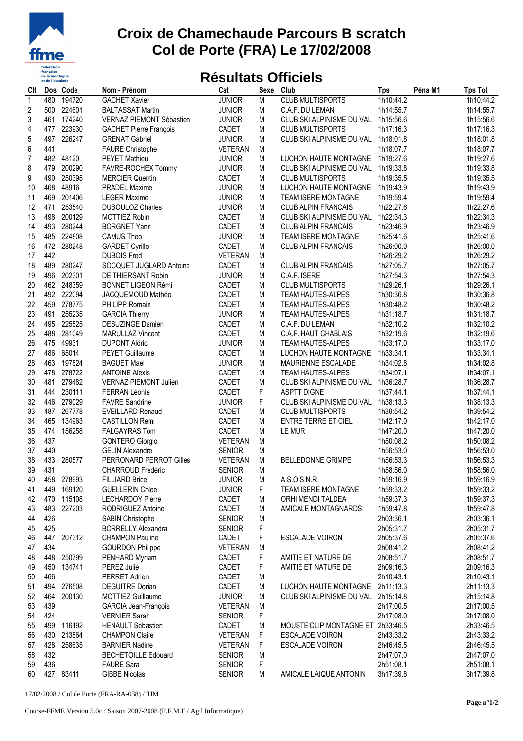

## **Croix de Chamechaude Parcours B scratch Col de Porte (FRA) Le 17/02/2008**

## **Résultats Officiels**

| CIt.         |     | Dos Code             | Nom - Prénom                                         | Cat            | Sexe           | Club                                     | <b>Tps</b> | Péna M1 | <b>Tps Tot</b>         |
|--------------|-----|----------------------|------------------------------------------------------|----------------|----------------|------------------------------------------|------------|---------|------------------------|
| $\mathbf{1}$ | 480 | 194720               | <b>GACHET Xavier</b>                                 | <b>JUNIOR</b>  | $\overline{M}$ | <b>CLUB MULTISPORTS</b>                  | 1h10:44.2  |         | 1h10:44.2              |
| 2            | 500 | 224601               | <b>BALTASSAT Martin</b>                              | <b>JUNIOR</b>  | M              | C.A.F. DU LEMAN                          | 1h14:55.7  |         | 1h14:55.7              |
| 3            | 461 | 174240               | VERNAZ PIEMONT Sébastien                             | <b>JUNIOR</b>  | M              | CLUB SKI ALPINISME DU VAL                | 1h15:56.6  |         | 1h15:56.6              |
| 4            | 477 | 223930               | <b>GACHET Pierre François</b>                        | CADET          | M              | <b>CLUB MULTISPORTS</b>                  | 1h17:16.3  |         | 1h17:16.3              |
| $\mathbf 5$  | 497 | 226247               | <b>GRENAT Gabriel</b>                                | <b>JUNIOR</b>  | M              | CLUB SKI ALPINISME DU VAL                | 1h18:01.8  |         | 1h18:01.8              |
| 6            | 441 |                      | <b>FAURE Christophe</b>                              | <b>VETERAN</b> | M              |                                          | 1h18:07.7  |         | 1h18:07.7              |
| 7            |     | 482 48120            | <b>PEYET Mathieu</b>                                 | <b>JUNIOR</b>  | M              | LUCHON HAUTE MONTAGNE                    | 1h19:27.6  |         | 1h19:27.6              |
| 8            | 479 | 200290               | FAVRE-ROCHEX Tommy                                   | <b>JUNIOR</b>  | M              | CLUB SKI ALPINISME DU VAL                | 1h19:33.8  |         | 1h19:33.8              |
| 9            | 490 | 250395               | <b>MERCIER Quentin</b>                               | CADET          | M              | <b>CLUB MULTISPORTS</b>                  | 1h19:35.5  |         | 1h19:35.5              |
| 10           | 468 | 48916                | <b>PRADEL Maxime</b>                                 | <b>JUNIOR</b>  | M              | LUCHON HAUTE MONTAGNE                    | 1h19:43.9  |         | 1h19:43.9              |
| 11           | 469 | 201406               | <b>LEGER Maxime</b>                                  | <b>JUNIOR</b>  | M              | TEAM ISERE MONTAGNE                      | 1h19:59.4  |         | 1h19:59.4              |
| 12           | 471 | 253540               | <b>DUBOULOZ Charles</b>                              | <b>JUNIOR</b>  | M              | <b>CLUB ALPIN FRANCAIS</b>               | 1h22:27.6  |         | 1h22:27.6              |
| 13           | 498 | 200129               | <b>MOTTIEZ Robin</b>                                 | CADET          | M              | CLUB SKI ALPINISME DU VAL                | 1h22:34.3  |         | 1h22:34.3              |
| 14           | 493 | 280244               | <b>BORGNET Yann</b>                                  | CADET          | M              | <b>CLUB ALPIN FRANCAIS</b>               | 1h23:46.9  |         | 1h23:46.9              |
| 15           | 485 | 224808               | <b>CAMUS Theo</b>                                    | <b>JUNIOR</b>  | M              | <b>TEAM ISERE MONTAGNE</b>               | 1h25:41.6  |         | 1h25:41.6              |
| 16           | 472 | 280248               | <b>GARDET Cyrille</b>                                | CADET          | M              | <b>CLUB ALPIN FRANCAIS</b>               | 1h26:00.0  |         | 1h26:00.0              |
| 17           | 442 |                      | <b>DUBOIS Fred</b>                                   | <b>VETERAN</b> | M              |                                          | 1h26:29.2  |         | 1h26:29.2              |
| 18           | 489 | 280247               | SOCQUET JUGLARD Antoine                              | CADET          | M              | <b>CLUB ALPIN FRANCAIS</b>               | 1h27:05.7  |         | 1h27:05.7              |
| 19           | 496 | 202301               | DE THIERSANT Robin                                   | <b>JUNIOR</b>  | M              | C.A.F. ISERE                             | 1h27:54.3  |         | 1h27:54.3              |
| 20           | 462 | 248359               | <b>BONNET LIGEON Rémi</b>                            | CADET          | M              | <b>CLUB MULTISPORTS</b>                  | 1h29:26.1  |         | 1h29:26.1              |
| 21           |     | 492 222094           | JACQUEMOUD Mathéo                                    | CADET          | M              | <b>TEAM HAUTES-ALPES</b>                 | 1h30:36.8  |         | 1h30:36.8              |
| 22           | 459 | 278775               | PHILIPP Romain                                       | CADET          | M              | <b>TEAM HAUTES-ALPES</b>                 | 1h30:48.2  |         | 1h30:48.2              |
| 23           | 491 | 255235               | <b>GARCIA Thierry</b>                                | <b>JUNIOR</b>  | M              | <b>TEAM HAUTES-ALPES</b>                 | 1h31:18.7  |         | 1h31:18.7              |
| 24           | 495 | 225525               | <b>DESUZINGE Damien</b>                              | CADET          | M              | C.A.F. DU LEMAN                          | 1h32:10.2  |         | 1h32:10.2              |
| 25           | 488 | 281049               | <b>MARULLAZ Vincent</b>                              | CADET          | M              | C.A.F. HAUT CHABLAIS                     | 1h32:19.6  |         | 1h32:19.6              |
| 26           |     | 475 49931            | <b>DUPONT Aldric</b>                                 | <b>JUNIOR</b>  | M              | TEAM HAUTES-ALPES                        | 1h33:17.0  |         | 1h33:17.0              |
| 27           | 486 | 65014                | <b>PEYET Guillaume</b>                               | CADET          | M              | LUCHON HAUTE MONTAGNE                    | 1h33:34.1  |         | 1h33:34.1              |
| 28           | 463 | 197824               | <b>BAGUET Mael</b>                                   | <b>JUNIOR</b>  | M              | MAURIENNE ESCALADE                       | 1h34:02.8  |         | 1h34:02.8              |
| 29           | 478 | 278722               | <b>ANTOINE Alexis</b>                                | CADET          | M              | <b>TEAM HAUTES-ALPES</b>                 | 1h34:07.1  |         | 1h34:07.1              |
| 30           | 481 | 279482               | VERNAZ PIEMONT Julien                                | CADET          | M              | CLUB SKI ALPINISME DU VAL                | 1h36:28.7  |         | 1h36:28.7              |
| 31           | 444 | 230111               | FERRAN Léonie                                        | CADET          | F              | <b>ASPTT DIGNE</b>                       | 1h37:44.1  |         | 1h37:44.1              |
| 32           | 446 | 279029               | <b>FAVRE Sandrine</b>                                | <b>JUNIOR</b>  | F              | CLUB SKI ALPINISME DU VAL                | 1h38:13.3  |         | 1h38:13.3              |
| 33           | 487 | 267778               | <b>EVEILLARD Renaud</b>                              | CADET          | M              | <b>CLUB MULTISPORTS</b>                  | 1h39:54.2  |         | 1h39:54.2              |
| 34           | 465 | 134963               | <b>CASTILLON Remi</b>                                | CADET          | M              | <b>ENTRE TERRE ET CIEL</b>               | 1h42:17.0  |         | 1h42:17.0              |
| 35           | 474 | 156258               | <b>FALGAYRAS Tom</b>                                 | CADET          | M              | LE MUR                                   | 1h47:20.0  |         | 1h47:20.0              |
| 36           | 437 |                      | <b>GONTERO Giorgio</b>                               | <b>VETERAN</b> | M              |                                          | 1h50:08.2  |         | 1h50:08.2              |
| 37           | 440 |                      | <b>GELIN Alexandre</b>                               | <b>SENIOR</b>  | M              |                                          | 1h56:53.0  |         | 1h56:53.0              |
| 38           | 433 | 280577               | PERRONARD PERROT Gilles                              | <b>VETERAN</b> | M              | BELLEDONNE GRIMPE                        | 1h56:53.3  |         | 1h56:53.3              |
| 39           | 431 |                      | <b>CHARROUD Frédéric</b>                             | <b>SENIOR</b>  | M              |                                          | 1h58:56.0  |         | 1h58:56.0              |
|              | 458 | 278993               |                                                      |                |                | A.S.O.S.N.R.                             |            |         |                        |
| 40           |     |                      | <b>FILLIARD Brice</b>                                | <b>JUNIOR</b>  | M              |                                          | 1h59:16.9  |         | 1h59:16.9              |
| 41           | 470 | 449 169120<br>115108 | <b>GUELLERIN Chloe</b>                               | <b>JUNIOR</b>  | F              | <b>TEAM ISERE MONTAGNE</b>               | 1h59:33.2  |         | 1h59:33.2              |
| 42           | 483 | 227203               | <b>LECHARDOY Pierre</b>                              | CADET          | M              | ORHI MENDI TALDEA<br>AMICALE MONTAGNARDS | 1h59:37.3  |         | 1h59:37.3<br>1h59:47.8 |
| 43           | 426 |                      | RODRIGUEZ Antoine                                    | CADET          | M              |                                          | 1h59:47.8  |         |                        |
| 44           | 425 |                      | <b>SABIN Christophe</b><br><b>BORRELLY Alexandra</b> | <b>SENIOR</b>  | M<br>F         |                                          | 2h03:36.1  |         | 2h03:36.1<br>2h05:31.7 |
| 45           |     |                      |                                                      | <b>SENIOR</b>  |                |                                          | 2h05:31.7  |         |                        |
| 46           | 447 | 207312               | <b>CHAMPON Pauline</b>                               | CADET          | F              | ESCALADE VOIRON                          | 2h05:37.6  |         | 2h05:37.6              |
| 47           | 434 |                      | <b>GOURDON Philippe</b>                              | <b>VETERAN</b> | M              |                                          | 2h08:41.2  |         | 2h08:41.2              |
| 48           | 448 | 250799               | PENHARD Myriam                                       | CADET          | F              | AMITIE ET NATURE DE                      | 2h08:51.7  |         | 2h08:51.7              |
| 49           | 450 | 134741               | PEREZ Julie                                          | CADET          | F              | AMITIE ET NATURE DE                      | 2h09:16.3  |         | 2h09:16.3              |
| 50           | 466 |                      | PERRET Adrien                                        | CADET          | M              |                                          | 2h10:43.1  |         | 2h10:43.1              |
| 51           | 494 | 276508               | <b>DEGUITRE Dorian</b>                               | CADET          | M              | LUCHON HAUTE MONTAGNE                    | 2h11:13.3  |         | 2h11:13.3              |
| 52           | 464 | 200130               | MOTTIEZ Guillaume                                    | <b>JUNIOR</b>  | M              | CLUB SKI ALPINISME DU VAL                | 2h15:14.8  |         | 2h15:14.8              |
| 53           | 439 |                      | <b>GARCIA Jean-François</b>                          | <b>VETERAN</b> | M              |                                          | 2h17:00.5  |         | 2h17:00.5              |
| 54           | 424 |                      | <b>VERNIER Sarah</b>                                 | <b>SENIOR</b>  | F              |                                          | 2h17:08.0  |         | 2h17:08.0              |
| 55           | 499 | 116192               | <b>HENAULT Sebastien</b>                             | CADET          | M              | MOUSTE'CLIP MONTAGNE ET                  | 2h33:46.5  |         | 2h33:46.5              |
| 56           | 430 | 213864               | <b>CHAMPON Claire</b>                                | <b>VETERAN</b> | F              | ESCALADE VOIRON                          | 2h43:33.2  |         | 2h43:33.2              |
| 57           | 428 | 258635               | <b>BARNIER Nadine</b>                                | <b>VETERAN</b> | F              | ESCALADE VOIRON                          | 2h46:45.5  |         | 2h46:45.5              |
| 58           | 432 |                      | <b>BECHETOILLE Edouard</b>                           | <b>SENIOR</b>  | M              |                                          | 2h47:07.0  |         | 2h47:07.0              |
| 59           | 436 |                      | <b>FAURE Sara</b>                                    | <b>SENIOR</b>  | F              |                                          | 2h51:08.1  |         | 2h51:08.1              |
| 60           |     | 427 83411            | <b>GIBBE Nicolas</b>                                 | <b>SENIOR</b>  | M              | AMICALE LAIQUE ANTONIN                   | 3h17:39.8  |         | 3h17:39.8              |

17/02/2008 / Col de Porte (FRA-RA-038) / TIM